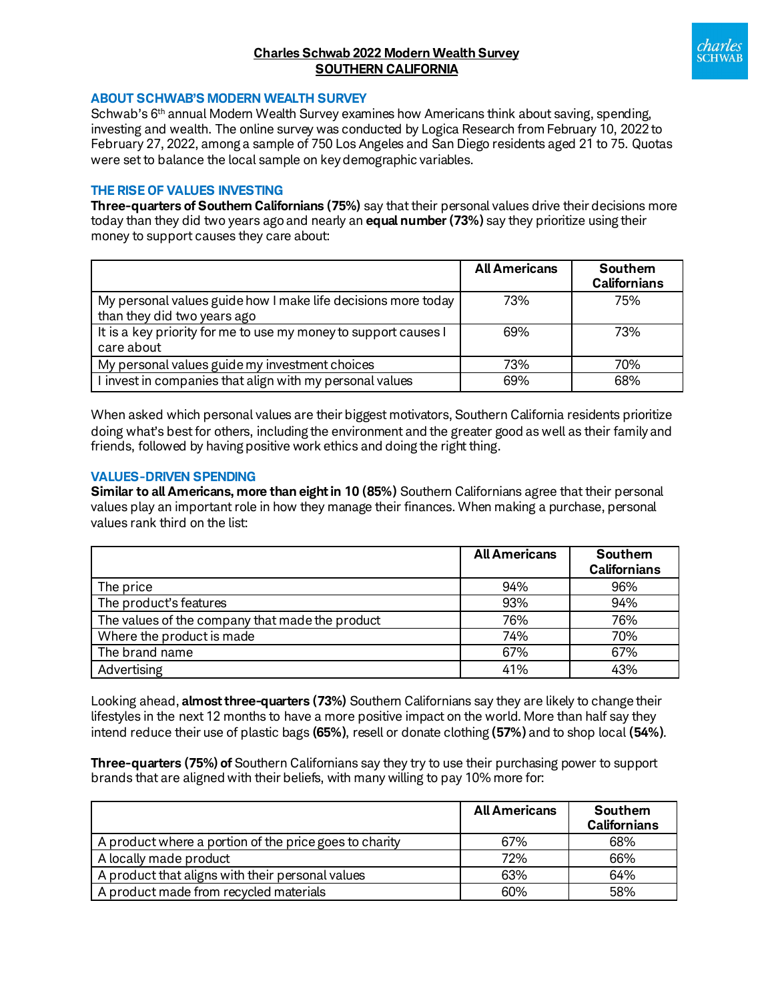# **Charles Schwab 2022 Modern Wealth Survey SOUTHERN CALIFORNIA**



#### **ABOUT SCHWAB'S MODERN WEALTH SURVEY**

Schwab's 6<sup>th</sup> annual Modern Wealth Survey examines how Americans think about saving, spending, investing and wealth. The online survey was conducted by Logica Research from February 10, 2022 to February 27, 2022, among a sample of 750 Los Angeles and San Diego residents aged 21 to 75. Quotas were set to balance the local sample on key demographic variables.

### **THE RISE OF VALUES INVESTING**

**Three-quarters of Southern Californians (75%)** say that their personal values drive their decisions more today than they did two years agoand nearly an **equal number (73%)** say they prioritize using their money to support causes they care about:

|                                                                                              | <b>All Americans</b> | Southern<br><b>Californians</b> |
|----------------------------------------------------------------------------------------------|----------------------|---------------------------------|
| My personal values guide how I make life decisions more today<br>than they did two years ago | 73%                  | 75%                             |
| It is a key priority for me to use my money to support causes I<br>care about                | 69%                  | 73%                             |
| My personal values guide my investment choices                                               | 73%                  | 70%                             |
| I invest in companies that align with my personal values                                     | 69%                  | 68%                             |

When asked which personal values are their biggest motivators, Southern California residents prioritize doing what's best for others, including the environment and the greater good as well as their family and friends, followed by having positive work ethics and doing the right thing.

### **VALUES-DRIVEN SPENDING**

**Similar to all Americans, more than eight in 10 (85%)** Southern Californians agree that their personal values play an important role in how they manage their finances. When making a purchase, personal values rank third on the list:

|                                                 | <b>All Americans</b> | Southern<br><b>Californians</b> |
|-------------------------------------------------|----------------------|---------------------------------|
| The price                                       | 94%                  | 96%                             |
| The product's features                          | 93%                  | 94%                             |
| The values of the company that made the product | 76%                  | 76%                             |
| Where the product is made                       | 74%                  | 70%                             |
| The brand name                                  | 67%                  | 67%                             |
| Advertising                                     | 41%                  | 43%                             |

Looking ahead, **almost three-quarters (73%)** Southern Californians say they are likely to change their lifestyles in the next 12 months to have a more positive impact on the world. More than half say they intend reduce their use of plastic bags **(65%)**, resell or donate clothing **(57%)** and to shop local **(54%)**.

**Three-quarters (75%) of** Southern Californians say they try to use their purchasing power to support brands that are aligned with their beliefs, with many willing to pay 10% more for:

|                                                        | <b>All Americans</b> | Southern<br><b>Californians</b> |
|--------------------------------------------------------|----------------------|---------------------------------|
| A product where a portion of the price goes to charity | 67%                  | 68%                             |
| A locally made product                                 | 72%                  | 66%                             |
| A product that aligns with their personal values       | 63%                  | 64%                             |
| A product made from recycled materials                 | 60%                  | 58%                             |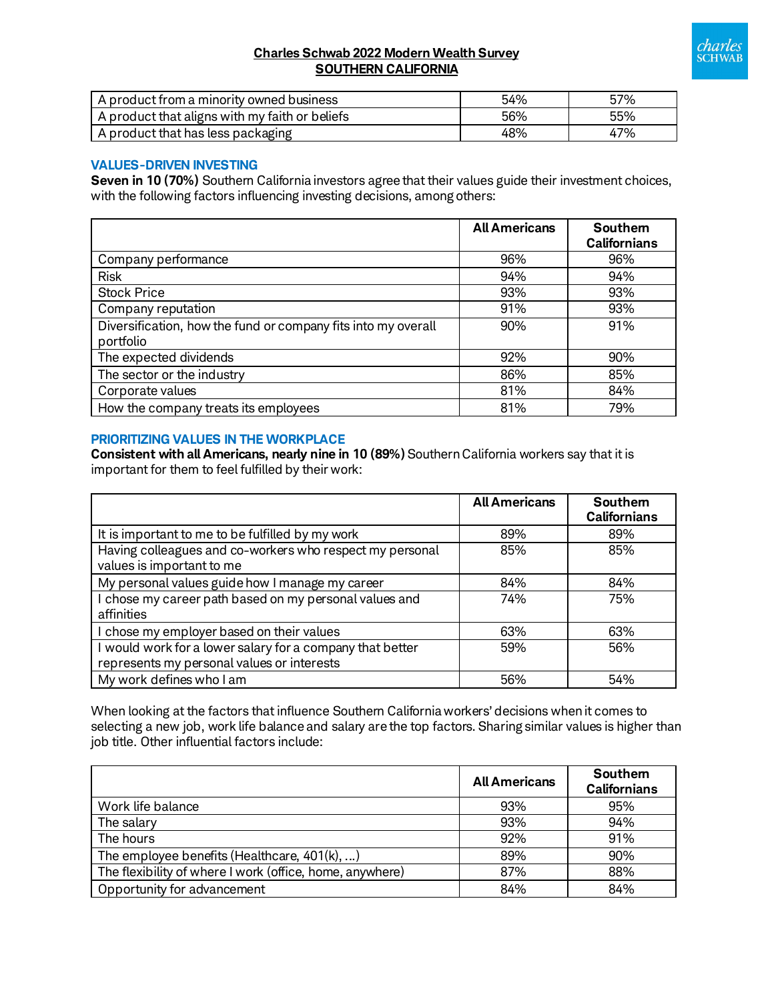

# **Charles Schwab 2022 Modern Wealth Survey SOUTHERN CALIFORNIA**

| A product from a minority owned business       | 54% | 57% |
|------------------------------------------------|-----|-----|
| A product that aligns with my faith or beliefs | 56% | 55% |
| A product that has less packaging              | 48% | 47% |

### **VALUES-DRIVEN INVESTING**

**Seven in 10 (70%)** Southern California investors agree that their values guide their investment choices, with the following factors influencing investing decisions, among others:

|                                                                            | <b>All Americans</b> | Southem<br><b>Californians</b> |
|----------------------------------------------------------------------------|----------------------|--------------------------------|
| Company performance                                                        | 96%                  | 96%                            |
| <b>Risk</b>                                                                | 94%                  | 94%                            |
| <b>Stock Price</b>                                                         | 93%                  | 93%                            |
| Company reputation                                                         | 91%                  | 93%                            |
| Diversification, how the fund or company fits into my overall<br>portfolio | 90%                  | 91%                            |
| The expected dividends                                                     | 92%                  | 90%                            |
| The sector or the industry                                                 | 86%                  | 85%                            |
| Corporate values                                                           | 81%                  | 84%                            |
| How the company treats its employees                                       | 81%                  | 79%                            |

### **PRIORITIZING VALUES IN THE WORKPLACE**

**Consistent with all Americans, nearly nine in 10 (89%)** Southern California workers say that it is important for them to feel fulfilled by their work:

|                                                                                                         | <b>All Americans</b> | <b>Southem</b><br><b>Californians</b> |
|---------------------------------------------------------------------------------------------------------|----------------------|---------------------------------------|
| It is important to me to be fulfilled by my work                                                        | 89%                  | 89%                                   |
| Having colleagues and co-workers who respect my personal<br>values is important to me                   | 85%                  | 85%                                   |
| My personal values guide how I manage my career                                                         | 84%                  | 84%                                   |
| I chose my career path based on my personal values and<br>affinities                                    | 74%                  | 75%                                   |
| I chose my employer based on their values                                                               | 63%                  | 63%                                   |
| I would work for a lower salary for a company that better<br>represents my personal values or interests | 59%                  | 56%                                   |
| My work defines who I am                                                                                | 56%                  | 54%                                   |

When looking at the factors that influence Southern California workers' decisions when it comes to selecting a new job, work life balance and salary are the top factors. Sharing similar values is higher than job title. Other influential factors include:

|                                                          | <b>All Americans</b> | Southem<br><b>Californians</b> |
|----------------------------------------------------------|----------------------|--------------------------------|
| Work life balance                                        | 93%                  | 95%                            |
| The salary                                               | 93%                  | 94%                            |
| The hours                                                | 92%                  | 91%                            |
| The employee benefits (Healthcare, $401(k), $ )          | 89%                  | 90%                            |
| The flexibility of where I work (office, home, anywhere) | 87%                  | 88%                            |
| Opportunity for advancement                              | 84%                  | 84%                            |